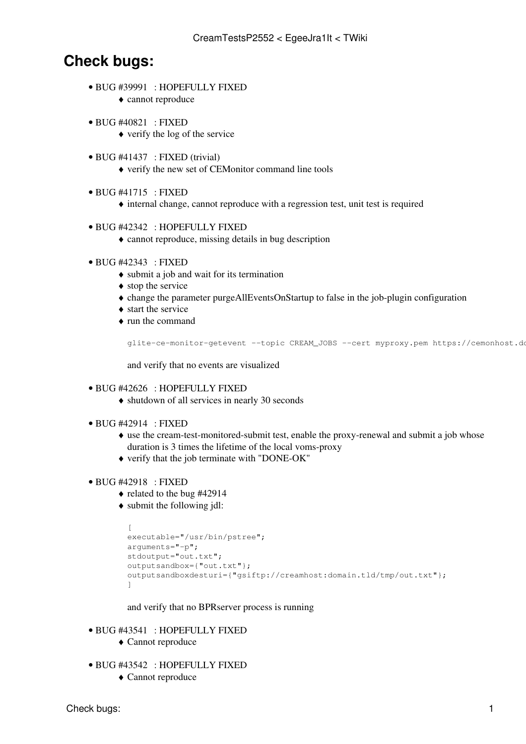# **Check bugs:**

BUG [#39991](https://savannah.cern.ch/bugs/?39991) : HOPEFULLY FIXED •

♦ cannot reproduce

- BUG [#40821](https://savannah.cern.ch/bugs/?40821) : FIXED
	- $\triangle$  verify the log of the service
- BUG [#41437](https://savannah.cern.ch/bugs/?41437) : FIXED (trivial)
	- ♦ verify the new set of CEMonitor command line tools
- BUG [#41715](https://savannah.cern.ch/bugs/?41715) : FIXED
	- ♦ internal change, cannot reproduce with a regression test, unit test is required

#### BUG [#42342](https://savannah.cern.ch/bugs/?42342) : HOPEFULLY FIXED •

- ♦ cannot reproduce, missing details in bug description
- BUG [#42343](https://savannah.cern.ch/bugs/?42343) : FIXED
	- ♦ submit a job and wait for its termination
	- $\bullet$  stop the service
	- ♦ change the parameter purgeAllEventsOnStartup to false in the job-plugin configuration
	- ♦ start the service
	- run the command ♦

```
glite-ce-monitor-getevent --topic CREAM_JOBS --cert myproxy.pem https://cemonhost.do
```
and verify that no events are visualized

## BUG [#42626](https://savannah.cern.ch/bugs/?42626) : HOPEFULLY FIXED •

- ♦ shutdown of all services in nearly 30 seconds
- BUG [#42914](https://savannah.cern.ch/bugs/?42914) : FIXED
	- use the cream-test-monitored-submit test, enable the proxy-renewal and submit a job whose ♦ duration is 3 times the lifetime of the local voms-proxy
	- ♦ verify that the job terminate with "DONE-OK"

#### BUG [#42918](https://savannah.cern.ch/bugs/?42918) : FIXED •

- ♦ related to the bug #42914
- submit the following jdl: ♦

```
\sqrt{2}executable="/usr/bin/pstree";
arguments="-p";
stdoutput="out.txt";
outputsandbox={"out.txt"};
outputsandboxdesturi={"gsiftp://creamhost:domain.tld/tmp/out.txt"};
]
```
and verify that no BPRserver process is running

- BUG [#43541](https://savannah.cern.ch/bugs/?43541) : HOPEFULLY FIXED
	- ♦ Cannot reproduce
- BUG [#43542](https://savannah.cern.ch/bugs/?43542) : HOPEFULLY FIXED
	- ♦ Cannot reproduce